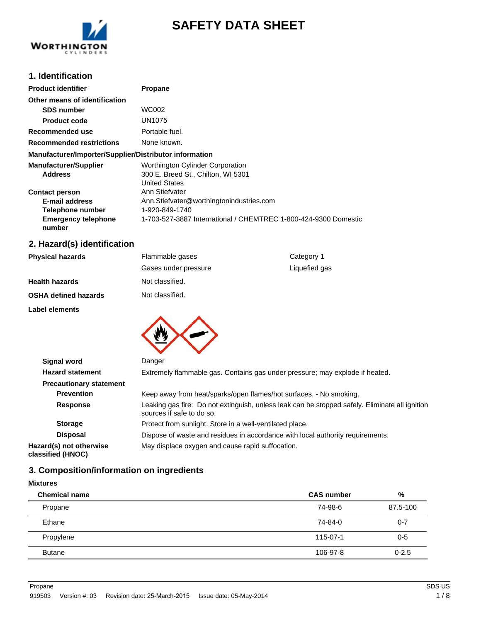

# **SAFETY DATA SHEET**

# **1. Identification**

| <b>Product identifier</b>                              | <b>Propane</b>                                                  |
|--------------------------------------------------------|-----------------------------------------------------------------|
| Other means of identification                          |                                                                 |
| <b>SDS number</b>                                      | WC002                                                           |
| <b>Product code</b>                                    | UN1075                                                          |
| Recommended use                                        | Portable fuel.                                                  |
| <b>Recommended restrictions</b>                        | None known.                                                     |
| Manufacturer/Importer/Supplier/Distributor information |                                                                 |
| <b>Manufacturer/Supplier</b>                           | Worthington Cylinder Corporation                                |
| <b>Address</b>                                         | 300 E. Breed St., Chilton, WI 5301                              |
|                                                        | <b>United States</b>                                            |
| <b>Contact person</b>                                  | Ann Stiefvater                                                  |
| <b>E-mail address</b>                                  | Ann.Stiefvater@worthingtonindustries.com                        |
| Telephone number                                       | 1-920-849-1740                                                  |
| <b>Emergency telephone</b><br>number                   | 1-703-527-3887 International / CHEMTREC 1-800-424-9300 Domestic |

# **2. Hazard(s) identification**

| <b>Physical hazards</b> | Flammable gases      | Category 1    |
|-------------------------|----------------------|---------------|
|                         | Gases under pressure | Liquefied gas |
| Health hazards          | Not classified.      |               |
| OSHA defined hazards    | Not classified.      |               |
| Label elements          |                      |               |
|                         |                      |               |
|                         |                      |               |
|                         |                      |               |

| <b>Signal word</b>                           | Danger                                                                                                                      |  |  |
|----------------------------------------------|-----------------------------------------------------------------------------------------------------------------------------|--|--|
| <b>Hazard statement</b>                      | Extremely flammable gas. Contains gas under pressure; may explode if heated.                                                |  |  |
| <b>Precautionary statement</b>               |                                                                                                                             |  |  |
| <b>Prevention</b>                            | Keep away from heat/sparks/open flames/hot surfaces. - No smoking.                                                          |  |  |
| <b>Response</b>                              | Leaking gas fire: Do not extinguish, unless leak can be stopped safely. Eliminate all ignition<br>sources if safe to do so. |  |  |
| <b>Storage</b>                               | Protect from sunlight. Store in a well-ventilated place.                                                                    |  |  |
| <b>Disposal</b>                              | Dispose of waste and residues in accordance with local authority requirements.                                              |  |  |
| Hazard(s) not otherwise<br>classified (HNOC) | May displace oxygen and cause rapid suffocation.                                                                            |  |  |

## **3. Composition/information on ingredients**

#### **Mixtures**

l,

| <b>Chemical name</b> | <b>CAS number</b> | %         |
|----------------------|-------------------|-----------|
| Propane              | 74-98-6           | 87.5-100  |
| Ethane               | 74-84-0           | $0 - 7$   |
| Propylene            | 115-07-1          | $0 - 5$   |
| <b>Butane</b>        | 106-97-8          | $0 - 2.5$ |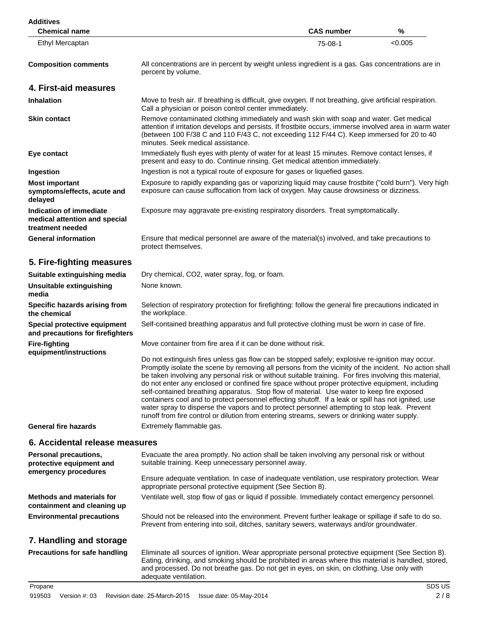| <b>Additives</b><br><b>Chemical name</b>                                     |                                                                                                                                                                                                                                                                                                                                                                                                                                                                                                                                                                                                                                                                                                                                                                                                                          | <b>CAS number</b> | %       |
|------------------------------------------------------------------------------|--------------------------------------------------------------------------------------------------------------------------------------------------------------------------------------------------------------------------------------------------------------------------------------------------------------------------------------------------------------------------------------------------------------------------------------------------------------------------------------------------------------------------------------------------------------------------------------------------------------------------------------------------------------------------------------------------------------------------------------------------------------------------------------------------------------------------|-------------------|---------|
| Ethyl Mercaptan                                                              |                                                                                                                                                                                                                                                                                                                                                                                                                                                                                                                                                                                                                                                                                                                                                                                                                          | 75-08-1           | < 0.005 |
| <b>Composition comments</b>                                                  | All concentrations are in percent by weight unless ingredient is a gas. Gas concentrations are in<br>percent by volume.                                                                                                                                                                                                                                                                                                                                                                                                                                                                                                                                                                                                                                                                                                  |                   |         |
| 4. First-aid measures                                                        |                                                                                                                                                                                                                                                                                                                                                                                                                                                                                                                                                                                                                                                                                                                                                                                                                          |                   |         |
| <b>Inhalation</b>                                                            | Move to fresh air. If breathing is difficult, give oxygen. If not breathing, give artificial respiration.<br>Call a physician or poison control center immediately.                                                                                                                                                                                                                                                                                                                                                                                                                                                                                                                                                                                                                                                      |                   |         |
| <b>Skin contact</b>                                                          | Remove contaminated clothing immediately and wash skin with soap and water. Get medical<br>attention if irritation develops and persists. If frostbite occurs, immerse involved area in warm water<br>(between 100 F/38 C and 110 F/43 C, not exceeding 112 F/44 C). Keep immersed for 20 to 40<br>minutes. Seek medical assistance.                                                                                                                                                                                                                                                                                                                                                                                                                                                                                     |                   |         |
| Eye contact                                                                  | Immediately flush eyes with plenty of water for at least 15 minutes. Remove contact lenses, if<br>present and easy to do. Continue rinsing. Get medical attention immediately.                                                                                                                                                                                                                                                                                                                                                                                                                                                                                                                                                                                                                                           |                   |         |
| Ingestion                                                                    | Ingestion is not a typical route of exposure for gases or liquefied gases.                                                                                                                                                                                                                                                                                                                                                                                                                                                                                                                                                                                                                                                                                                                                               |                   |         |
| <b>Most important</b><br>symptoms/effects, acute and<br>delayed              | Exposure to rapidly expanding gas or vaporizing liquid may cause frostbite ("cold burn"). Very high<br>exposure can cause suffocation from lack of oxygen. May cause drowsiness or dizziness.                                                                                                                                                                                                                                                                                                                                                                                                                                                                                                                                                                                                                            |                   |         |
| Indication of immediate<br>medical attention and special<br>treatment needed | Exposure may aggravate pre-existing respiratory disorders. Treat symptomatically.                                                                                                                                                                                                                                                                                                                                                                                                                                                                                                                                                                                                                                                                                                                                        |                   |         |
| <b>General information</b>                                                   | Ensure that medical personnel are aware of the material(s) involved, and take precautions to<br>protect themselves.                                                                                                                                                                                                                                                                                                                                                                                                                                                                                                                                                                                                                                                                                                      |                   |         |
| 5. Fire-fighting measures                                                    |                                                                                                                                                                                                                                                                                                                                                                                                                                                                                                                                                                                                                                                                                                                                                                                                                          |                   |         |
| Suitable extinguishing media                                                 | Dry chemical, CO2, water spray, fog, or foam.                                                                                                                                                                                                                                                                                                                                                                                                                                                                                                                                                                                                                                                                                                                                                                            |                   |         |
| Unsuitable extinguishing<br>media                                            | None known.                                                                                                                                                                                                                                                                                                                                                                                                                                                                                                                                                                                                                                                                                                                                                                                                              |                   |         |
| Specific hazards arising from<br>the chemical                                | Selection of respiratory protection for firefighting: follow the general fire precautions indicated in<br>the workplace.                                                                                                                                                                                                                                                                                                                                                                                                                                                                                                                                                                                                                                                                                                 |                   |         |
| Special protective equipment<br>and precautions for firefighters             | Self-contained breathing apparatus and full protective clothing must be worn in case of fire.                                                                                                                                                                                                                                                                                                                                                                                                                                                                                                                                                                                                                                                                                                                            |                   |         |
| <b>Fire-fighting</b><br>equipment/instructions                               | Move container from fire area if it can be done without risk.                                                                                                                                                                                                                                                                                                                                                                                                                                                                                                                                                                                                                                                                                                                                                            |                   |         |
|                                                                              | Do not extinguish fires unless gas flow can be stopped safely; explosive re-ignition may occur.<br>Promptly isolate the scene by removing all persons from the vicinity of the incident. No action shall<br>be taken involving any personal risk or without suitable training. For fires involving this material,<br>do not enter any enclosed or confined fire space without proper protective equipment, including<br>self-contained breathing apparatus. Stop flow of material. Use water to keep fire exposed<br>containers cool and to protect personnel effecting shutoff. If a leak or spill has not ignited, use<br>water spray to disperse the vapors and to protect personnel attempting to stop leak. Prevent<br>runoff from fire control or dilution from entering streams, sewers or drinking water supply. |                   |         |
| <b>General fire hazards</b>                                                  | Extremely flammable gas.                                                                                                                                                                                                                                                                                                                                                                                                                                                                                                                                                                                                                                                                                                                                                                                                 |                   |         |
| 6. Accidental release measures                                               |                                                                                                                                                                                                                                                                                                                                                                                                                                                                                                                                                                                                                                                                                                                                                                                                                          |                   |         |
| <b>Personal precautions,</b><br>protective equipment and                     | Evacuate the area promptly. No action shall be taken involving any personal risk or without<br>suitable training. Keep unnecessary personnel away.                                                                                                                                                                                                                                                                                                                                                                                                                                                                                                                                                                                                                                                                       |                   |         |
| emergency procedures                                                         | Ensure adequate ventilation. In case of inadequate ventilation, use respiratory protection. Wear<br>appropriate personal protective equipment (See Section 8).                                                                                                                                                                                                                                                                                                                                                                                                                                                                                                                                                                                                                                                           |                   |         |
| <b>Methods and materials for</b><br>containment and cleaning up              | Ventilate well, stop flow of gas or liquid if possible. Immediately contact emergency personnel.                                                                                                                                                                                                                                                                                                                                                                                                                                                                                                                                                                                                                                                                                                                         |                   |         |
| <b>Environmental precautions</b>                                             | Should not be released into the environment. Prevent further leakage or spillage if safe to do so.<br>Prevent from entering into soil, ditches, sanitary sewers, waterways and/or groundwater.                                                                                                                                                                                                                                                                                                                                                                                                                                                                                                                                                                                                                           |                   |         |
| 7. Handling and storage                                                      |                                                                                                                                                                                                                                                                                                                                                                                                                                                                                                                                                                                                                                                                                                                                                                                                                          |                   |         |
| <b>Precautions for safe handling</b>                                         | Eliminate all sources of ignition. Wear appropriate personal protective equipment (See Section 8).<br>Eating, drinking, and smoking should be prohibited in areas where this material is handled, stored,<br>and processed. Do not breathe gas. Do not get in eyes, on skin, on clothing. Use only with                                                                                                                                                                                                                                                                                                                                                                                                                                                                                                                  |                   |         |

adequate ventilation.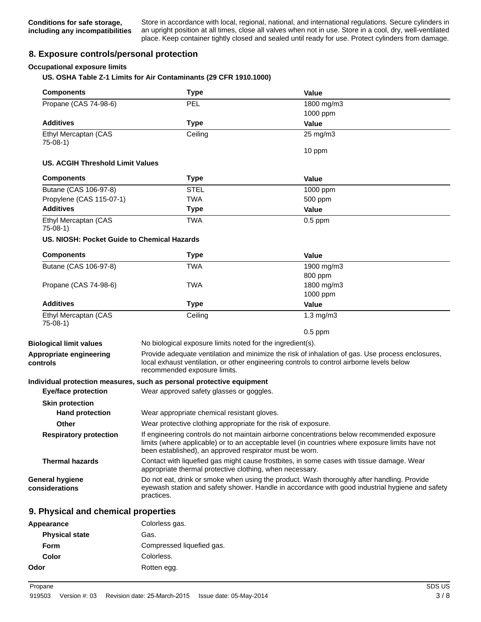Store in accordance with local, regional, national, and international regulations. Secure cylinders in an upright position at all times, close all valves when not in use. Store in a cool, dry, well-ventilated place. Keep container tightly closed and sealed until ready for use. Protect cylinders from damage.

## **8. Exposure controls/personal protection**

#### **Occupational exposure limits**

**US. OSHA Table Z-1 Limits for Air Contaminants (29 CFR 1910.1000)**

| <b>Components</b>                           | <b>Type</b>                                                                                                                                                                                                 | <b>Value</b>                                                                                                                                                                                   |
|---------------------------------------------|-------------------------------------------------------------------------------------------------------------------------------------------------------------------------------------------------------------|------------------------------------------------------------------------------------------------------------------------------------------------------------------------------------------------|
| Propane (CAS 74-98-6)                       | PEL                                                                                                                                                                                                         | 1800 mg/m3                                                                                                                                                                                     |
|                                             |                                                                                                                                                                                                             | 1000 ppm                                                                                                                                                                                       |
| <b>Additives</b>                            | <b>Type</b>                                                                                                                                                                                                 | Value                                                                                                                                                                                          |
| Ethyl Mercaptan (CAS<br>$75-08-1)$          | Ceiling                                                                                                                                                                                                     | $25 \text{ mg/m}$ 3                                                                                                                                                                            |
|                                             |                                                                                                                                                                                                             | 10 ppm                                                                                                                                                                                         |
| <b>US. ACGIH Threshold Limit Values</b>     |                                                                                                                                                                                                             |                                                                                                                                                                                                |
| <b>Components</b>                           | <b>Type</b>                                                                                                                                                                                                 | <b>Value</b>                                                                                                                                                                                   |
| Butane (CAS 106-97-8)                       | <b>STEL</b>                                                                                                                                                                                                 | 1000 ppm                                                                                                                                                                                       |
| Propylene (CAS 115-07-1)                    | <b>TWA</b>                                                                                                                                                                                                  | 500 ppm                                                                                                                                                                                        |
| <b>Additives</b>                            | <b>Type</b>                                                                                                                                                                                                 | Value                                                                                                                                                                                          |
| Ethyl Mercaptan (CAS<br>$75-08-1)$          | <b>TWA</b>                                                                                                                                                                                                  | $0.5$ ppm                                                                                                                                                                                      |
| US. NIOSH: Pocket Guide to Chemical Hazards |                                                                                                                                                                                                             |                                                                                                                                                                                                |
| <b>Components</b>                           | <b>Type</b>                                                                                                                                                                                                 | Value                                                                                                                                                                                          |
| Butane (CAS 106-97-8)                       | <b>TWA</b>                                                                                                                                                                                                  | 1900 mg/m3                                                                                                                                                                                     |
|                                             |                                                                                                                                                                                                             | 800 ppm                                                                                                                                                                                        |
| Propane (CAS 74-98-6)                       | <b>TWA</b>                                                                                                                                                                                                  | 1800 mg/m3                                                                                                                                                                                     |
|                                             |                                                                                                                                                                                                             | 1000 ppm                                                                                                                                                                                       |
| <b>Additives</b>                            | <b>Type</b>                                                                                                                                                                                                 | Value                                                                                                                                                                                          |
| Ethyl Mercaptan (CAS<br>$75-08-1)$          | Ceiling                                                                                                                                                                                                     | $1.3$ mg/m $3$                                                                                                                                                                                 |
|                                             |                                                                                                                                                                                                             | $0.5$ ppm                                                                                                                                                                                      |
| <b>Biological limit values</b>              | No biological exposure limits noted for the ingredient(s).                                                                                                                                                  |                                                                                                                                                                                                |
| Appropriate engineering<br>controls         | recommended exposure limits.                                                                                                                                                                                | Provide adequate ventilation and minimize the risk of inhalation of gas. Use process enclosures,<br>local exhaust ventilation, or other engineering controls to control airborne levels below  |
|                                             | Individual protection measures, such as personal protective equipment                                                                                                                                       |                                                                                                                                                                                                |
| <b>Eye/face protection</b>                  | Wear approved safety glasses or goggles.                                                                                                                                                                    |                                                                                                                                                                                                |
| <b>Skin protection</b>                      |                                                                                                                                                                                                             |                                                                                                                                                                                                |
| <b>Hand protection</b>                      | Wear appropriate chemical resistant gloves.                                                                                                                                                                 |                                                                                                                                                                                                |
| Other                                       | Wear protective clothing appropriate for the risk of exposure.                                                                                                                                              |                                                                                                                                                                                                |
| <b>Respiratory protection</b>               | been established), an approved respirator must be worn.                                                                                                                                                     | If engineering controls do not maintain airborne concentrations below recommended exposure<br>limits (where applicable) or to an acceptable level (in countries where exposure limits have not |
| <b>Thermal hazards</b>                      | appropriate thermal protective clothing, when necessary.                                                                                                                                                    | Contact with liquefied gas might cause frostbites, in some cases with tissue damage. Wear                                                                                                      |
| <b>General hygiene</b><br>considerations    | Do not eat, drink or smoke when using the product. Wash thoroughly after handling. Provide<br>eyewash station and safety shower. Handle in accordance with good industrial hygiene and safety<br>practices. |                                                                                                                                                                                                |
| 9. Physical and chemical properties         |                                                                                                                                                                                                             |                                                                                                                                                                                                |
| Appearance                                  | Colorless gas.                                                                                                                                                                                              |                                                                                                                                                                                                |
|                                             |                                                                                                                                                                                                             |                                                                                                                                                                                                |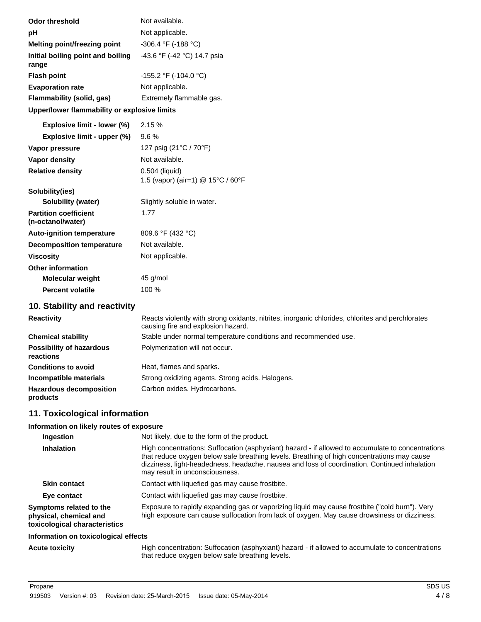| <b>Odor threshold</b>                             | Not available.                                      |
|---------------------------------------------------|-----------------------------------------------------|
| рH                                                | Not applicable.                                     |
| Melting point/freezing point                      | -306.4 °F (-188 °C)                                 |
| Initial boiling point and boiling<br>range        | -43.6 °F (-42 °C) 14.7 psia                         |
| <b>Flash point</b>                                | -155.2 °F (-104.0 °C)                               |
| <b>Evaporation rate</b>                           | Not applicable.                                     |
| <b>Flammability (solid, gas)</b>                  | Extremely flammable gas.                            |
| Upper/lower flammability or explosive limits      |                                                     |
| Explosive limit - lower (%)                       | 2.15 %                                              |
| Explosive limit - upper (%)                       | 9.6%                                                |
| Vapor pressure                                    | 127 psig (21°C / 70°F)                              |
| Vapor density                                     | Not available.                                      |
| <b>Relative density</b>                           | 0.504 (liquid)<br>1.5 (vapor) (air=1) @ 15°C / 60°F |
| Solubility(ies)                                   |                                                     |
| Solubility (water)                                | Slightly soluble in water.                          |
| <b>Partition coefficient</b><br>(n-octanol/water) | 1.77                                                |
| <b>Auto-ignition temperature</b>                  | 809.6 °F (432 °C)                                   |
| <b>Decomposition temperature</b>                  | Not available.                                      |
| <b>Viscosity</b>                                  | Not applicable.                                     |
| <b>Other information</b>                          |                                                     |
| Molecular weight                                  | 45 g/mol                                            |
| <b>Percent volatile</b>                           | 100 %                                               |
| 10. Stability and reactivity                      |                                                     |

| <b>Reactivity</b>                            | Reacts violently with strong oxidants, nitrites, inorganic chlorides, chlorites and perchlorates<br>causing fire and explosion hazard. |
|----------------------------------------------|----------------------------------------------------------------------------------------------------------------------------------------|
| <b>Chemical stability</b>                    | Stable under normal temperature conditions and recommended use.                                                                        |
| <b>Possibility of hazardous</b><br>reactions | Polymerization will not occur.                                                                                                         |
| <b>Conditions to avoid</b>                   | Heat, flames and sparks.                                                                                                               |
| Incompatible materials                       | Strong oxidizing agents. Strong acids. Halogens.                                                                                       |
| <b>Hazardous decomposition</b><br>products   | Carbon oxides. Hydrocarbons.                                                                                                           |

# **11. Toxicological information**

## **Information on likely routes of exposure**

| Ingestion                                                                          | Not likely, due to the form of the product.                                                                                                                                                                                                                                                                                       |
|------------------------------------------------------------------------------------|-----------------------------------------------------------------------------------------------------------------------------------------------------------------------------------------------------------------------------------------------------------------------------------------------------------------------------------|
| <b>Inhalation</b>                                                                  | High concentrations: Suffocation (asphyxiant) hazard - if allowed to accumulate to concentrations<br>that reduce oxygen below safe breathing levels. Breathing of high concentrations may cause<br>dizziness, light-headedness, headache, nausea and loss of coordination. Continued inhalation<br>may result in unconsciousness. |
| <b>Skin contact</b>                                                                | Contact with liquefied gas may cause frostbite.                                                                                                                                                                                                                                                                                   |
| Eye contact                                                                        | Contact with liquefied gas may cause frostbite.                                                                                                                                                                                                                                                                                   |
| Symptoms related to the<br>physical, chemical and<br>toxicological characteristics | Exposure to rapidly expanding gas or vaporizing liquid may cause frostbite ("cold burn"). Very<br>high exposure can cause suffocation from lack of oxygen. May cause drowsiness or dizziness.                                                                                                                                     |
| Information on toxicological effects                                               |                                                                                                                                                                                                                                                                                                                                   |
|                                                                                    |                                                                                                                                                                                                                                                                                                                                   |

Acute toxicity **High concentration: Suffocation (asphyxiant) hazard - if allowed to accumulate to concentrations** that reduce oxygen below safe breathing levels.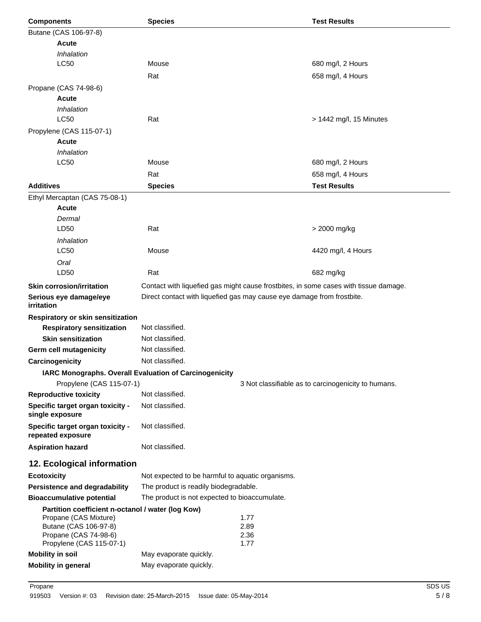| <b>Components</b>                                      | <b>Species</b>                                                         |              | <b>Test Results</b>                                                                  |
|--------------------------------------------------------|------------------------------------------------------------------------|--------------|--------------------------------------------------------------------------------------|
| Butane (CAS 106-97-8)                                  |                                                                        |              |                                                                                      |
| <b>Acute</b>                                           |                                                                        |              |                                                                                      |
| Inhalation                                             |                                                                        |              |                                                                                      |
| LC50                                                   | Mouse                                                                  |              | 680 mg/l, 2 Hours                                                                    |
|                                                        | Rat                                                                    |              | 658 mg/l, 4 Hours                                                                    |
| Propane (CAS 74-98-6)                                  |                                                                        |              |                                                                                      |
| <b>Acute</b>                                           |                                                                        |              |                                                                                      |
| Inhalation                                             |                                                                        |              |                                                                                      |
| LC50                                                   | Rat                                                                    |              | > 1442 mg/l, 15 Minutes                                                              |
| Propylene (CAS 115-07-1)                               |                                                                        |              |                                                                                      |
| <b>Acute</b>                                           |                                                                        |              |                                                                                      |
| Inhalation                                             |                                                                        |              |                                                                                      |
| LC50                                                   | Mouse                                                                  |              | 680 mg/l, 2 Hours                                                                    |
|                                                        | Rat                                                                    |              | 658 mg/l, 4 Hours                                                                    |
| <b>Additives</b>                                       | <b>Species</b>                                                         |              | <b>Test Results</b>                                                                  |
| Ethyl Mercaptan (CAS 75-08-1)                          |                                                                        |              |                                                                                      |
| <b>Acute</b>                                           |                                                                        |              |                                                                                      |
| Dermal                                                 |                                                                        |              |                                                                                      |
| LD50                                                   | Rat                                                                    |              | > 2000 mg/kg                                                                         |
| Inhalation                                             |                                                                        |              |                                                                                      |
| LC50                                                   | Mouse                                                                  |              | 4420 mg/l, 4 Hours                                                                   |
| Oral                                                   |                                                                        |              |                                                                                      |
| LD50                                                   | Rat                                                                    |              | 682 mg/kg                                                                            |
| <b>Skin corrosion/irritation</b>                       |                                                                        |              | Contact with liquefied gas might cause frostbites, in some cases with tissue damage. |
| Serious eye damage/eye<br>irritation                   | Direct contact with liquefied gas may cause eye damage from frostbite. |              |                                                                                      |
| Respiratory or skin sensitization                      |                                                                        |              |                                                                                      |
| <b>Respiratory sensitization</b>                       | Not classified.                                                        |              |                                                                                      |
| <b>Skin sensitization</b>                              | Not classified.                                                        |              |                                                                                      |
| Germ cell mutagenicity                                 | Not classified.                                                        |              |                                                                                      |
| Carcinogenicity                                        | Not classified.                                                        |              |                                                                                      |
| IARC Monographs. Overall Evaluation of Carcinogenicity |                                                                        |              |                                                                                      |
| Propylene (CAS 115-07-1)                               |                                                                        |              | 3 Not classifiable as to carcinogenicity to humans.                                  |
| <b>Reproductive toxicity</b>                           | Not classified.                                                        |              |                                                                                      |
| Specific target organ toxicity -                       | Not classified.                                                        |              |                                                                                      |
| single exposure                                        |                                                                        |              |                                                                                      |
| Specific target organ toxicity -                       | Not classified.                                                        |              |                                                                                      |
| repeated exposure                                      |                                                                        |              |                                                                                      |
| <b>Aspiration hazard</b>                               | Not classified.                                                        |              |                                                                                      |
| 12. Ecological information                             |                                                                        |              |                                                                                      |
| <b>Ecotoxicity</b>                                     | Not expected to be harmful to aquatic organisms.                       |              |                                                                                      |
| Persistence and degradability                          | The product is readily biodegradable.                                  |              |                                                                                      |
| <b>Bioaccumulative potential</b>                       | The product is not expected to bioaccumulate.                          |              |                                                                                      |
| Partition coefficient n-octanol / water (log Kow)      |                                                                        |              |                                                                                      |
| Propane (CAS Mixture)<br>Butane (CAS 106-97-8)         |                                                                        | 1.77<br>2.89 |                                                                                      |
| Propane (CAS 74-98-6)                                  |                                                                        | 2.36         |                                                                                      |
| Propylene (CAS 115-07-1)                               |                                                                        | 1.77         |                                                                                      |
| <b>Mobility in soil</b>                                | May evaporate quickly.                                                 |              |                                                                                      |
| <b>Mobility in general</b>                             | May evaporate quickly.                                                 |              |                                                                                      |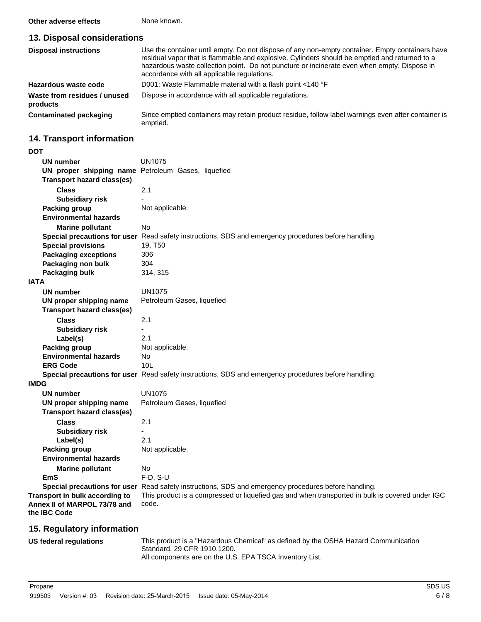**Other adverse effects** None known.

## **13. Disposal considerations**

| <b>Disposal instructions</b>             | Use the container until empty. Do not dispose of any non-empty container. Empty containers have<br>residual vapor that is flammable and explosive. Cylinders should be emptied and returned to a<br>hazardous waste collection point. Do not puncture or incinerate even when empty. Dispose in<br>accordance with all applicable regulations. |
|------------------------------------------|------------------------------------------------------------------------------------------------------------------------------------------------------------------------------------------------------------------------------------------------------------------------------------------------------------------------------------------------|
| Hazardous waste code                     | D001: Waste Flammable material with a flash point <140 °F                                                                                                                                                                                                                                                                                      |
| Waste from residues / unused<br>products | Dispose in accordance with all applicable regulations.                                                                                                                                                                                                                                                                                         |
| Contaminated packaging                   | Since emptied containers may retain product residue, follow label warnings even after container is<br>emptied.                                                                                                                                                                                                                                 |

# **14. Transport information**

| <b>DOT</b>                                         |                                                                                                      |
|----------------------------------------------------|------------------------------------------------------------------------------------------------------|
| UN number                                          | <b>UN1075</b>                                                                                        |
| UN proper shipping name Petroleum Gases, liquefied |                                                                                                      |
| <b>Transport hazard class(es)</b>                  |                                                                                                      |
| <b>Class</b>                                       | 2.1                                                                                                  |
| <b>Subsidiary risk</b>                             |                                                                                                      |
| Packing group                                      | Not applicable.                                                                                      |
| <b>Environmental hazards</b>                       |                                                                                                      |
| <b>Marine pollutant</b>                            | No                                                                                                   |
|                                                    | Special precautions for user Read safety instructions, SDS and emergency procedures before handling. |
| <b>Special provisions</b>                          | 19, T50                                                                                              |
| <b>Packaging exceptions</b>                        | 306                                                                                                  |
| Packaging non bulk                                 | 304                                                                                                  |
| Packaging bulk                                     | 314, 315                                                                                             |
| <b>IATA</b>                                        |                                                                                                      |
| UN number                                          | <b>UN1075</b>                                                                                        |
| UN proper shipping name                            | Petroleum Gases, liquefied                                                                           |
| <b>Transport hazard class(es)</b>                  |                                                                                                      |
| <b>Class</b>                                       | 2.1                                                                                                  |
| <b>Subsidiary risk</b>                             |                                                                                                      |
| Label(s)                                           | 2.1                                                                                                  |
| Packing group                                      | Not applicable.                                                                                      |
| <b>Environmental hazards</b>                       | No.                                                                                                  |
| <b>ERG Code</b>                                    | 10 <sub>L</sub>                                                                                      |
|                                                    | Special precautions for user Read safety instructions, SDS and emergency procedures before handling. |
| <b>IMDG</b>                                        |                                                                                                      |
| <b>UN number</b>                                   | UN1075                                                                                               |
| UN proper shipping name                            | Petroleum Gases, liquefied                                                                           |
| <b>Transport hazard class(es)</b>                  |                                                                                                      |
| <b>Class</b>                                       | 2.1                                                                                                  |
| <b>Subsidiary risk</b>                             |                                                                                                      |
| Label(s)                                           | 2.1                                                                                                  |
| Packing group                                      | Not applicable.                                                                                      |
| <b>Environmental hazards</b>                       |                                                                                                      |
| <b>Marine pollutant</b>                            | No.                                                                                                  |
| <b>EmS</b>                                         | $F-D$ , $S-U$                                                                                        |
|                                                    | Special precautions for user Read safety instructions, SDS and emergency procedures before handling. |
| Transport in bulk according to                     | This product is a compressed or liquefied gas and when transported in bulk is covered under IGC      |
| Annex II of MARPOL 73/78 and                       | code.                                                                                                |
| the IBC Code                                       |                                                                                                      |

# **15. Regulatory information**

| US federal regulations | This product is a "Hazardous Chemical" as defined by the OSHA Hazard Communication |
|------------------------|------------------------------------------------------------------------------------|
|                        | Standard, 29 CFR 1910.1200.                                                        |
|                        | All components are on the U.S. EPA TSCA Inventory List.                            |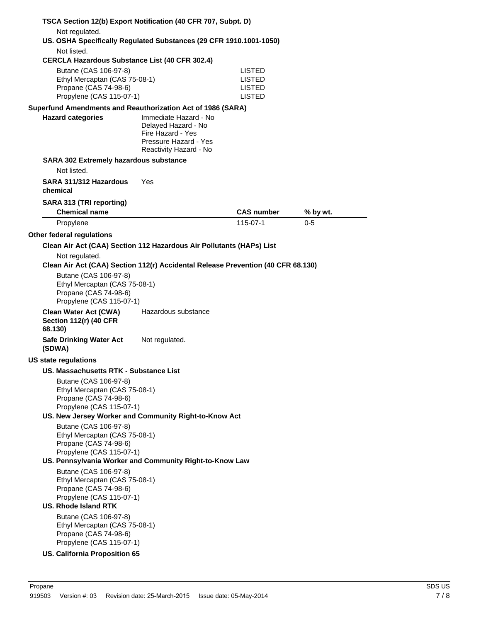|                             |                                                                                                                                                                                                      | TSCA Section 12(b) Export Notification (40 CFR 707, Subpt. D)                                                        |                                      |          |
|-----------------------------|------------------------------------------------------------------------------------------------------------------------------------------------------------------------------------------------------|----------------------------------------------------------------------------------------------------------------------|--------------------------------------|----------|
|                             | Not regulated.                                                                                                                                                                                       | US. OSHA Specifically Regulated Substances (29 CFR 1910.1001-1050)                                                   |                                      |          |
|                             | Not listed.                                                                                                                                                                                          | <b>CERCLA Hazardous Substance List (40 CFR 302.4)</b>                                                                |                                      |          |
|                             | Butane (CAS 106-97-8)<br>Ethyl Mercaptan (CAS 75-08-1)<br>Propane (CAS 74-98-6)<br>Propylene (CAS 115-07-1)                                                                                          |                                                                                                                      | LISTED<br>LISTED<br>LISTED<br>LISTED |          |
|                             |                                                                                                                                                                                                      | Superfund Amendments and Reauthorization Act of 1986 (SARA)                                                          |                                      |          |
|                             | <b>Hazard categories</b>                                                                                                                                                                             | Immediate Hazard - No<br>Delayed Hazard - No<br>Fire Hazard - Yes<br>Pressure Hazard - Yes<br>Reactivity Hazard - No |                                      |          |
|                             | <b>SARA 302 Extremely hazardous substance</b><br>Not listed.                                                                                                                                         |                                                                                                                      |                                      |          |
| chemical                    | SARA 311/312 Hazardous                                                                                                                                                                               | Yes                                                                                                                  |                                      |          |
|                             | SARA 313 (TRI reporting)<br><b>Chemical name</b>                                                                                                                                                     |                                                                                                                      | <b>CAS number</b>                    | % by wt. |
|                             | Propylene                                                                                                                                                                                            |                                                                                                                      | 115-07-1                             | 0-5      |
| Other federal regulations   |                                                                                                                                                                                                      |                                                                                                                      |                                      |          |
|                             |                                                                                                                                                                                                      | Clean Air Act (CAA) Section 112 Hazardous Air Pollutants (HAPs) List                                                 |                                      |          |
|                             | Not regulated.                                                                                                                                                                                       | Clean Air Act (CAA) Section 112(r) Accidental Release Prevention (40 CFR 68.130)                                     |                                      |          |
|                             | Butane (CAS 106-97-8)<br>Ethyl Mercaptan (CAS 75-08-1)<br>Propane (CAS 74-98-6)<br>Propylene (CAS 115-07-1)                                                                                          |                                                                                                                      |                                      |          |
| 68.130)                     | <b>Clean Water Act (CWA)</b><br><b>Section 112(r) (40 CFR</b>                                                                                                                                        | Hazardous substance                                                                                                  |                                      |          |
| (SDWA)                      | <b>Safe Drinking Water Act</b>                                                                                                                                                                       | Not regulated.                                                                                                       |                                      |          |
| <b>US state regulations</b> |                                                                                                                                                                                                      |                                                                                                                      |                                      |          |
|                             | US. Massachusetts RTK - Substance List                                                                                                                                                               |                                                                                                                      |                                      |          |
|                             | Butane (CAS 106-97-8)<br>Ethyl Mercaptan (CAS 75-08-1)<br>Propane (CAS 74-98-6)<br>Propylene (CAS 115-07-1)                                                                                          | US. New Jersey Worker and Community Right-to-Know Act                                                                |                                      |          |
|                             | Butane (CAS 106-97-8)<br>Ethyl Mercaptan (CAS 75-08-1)<br>Propane (CAS 74-98-6)<br>Propylene (CAS 115-07-1)                                                                                          | US. Pennsylvania Worker and Community Right-to-Know Law                                                              |                                      |          |
|                             | Butane (CAS 106-97-8)<br>Ethyl Mercaptan (CAS 75-08-1)<br>Propane (CAS 74-98-6)<br>Propylene (CAS 115-07-1)<br><b>US. Rhode Island RTK</b><br>Butane (CAS 106-97-8)<br>Ethyl Mercaptan (CAS 75-08-1) |                                                                                                                      |                                      |          |
|                             | Propane (CAS 74-98-6)<br>Propylene (CAS 115-07-1)                                                                                                                                                    |                                                                                                                      |                                      |          |
|                             | <b>US. California Proposition 65</b>                                                                                                                                                                 |                                                                                                                      |                                      |          |